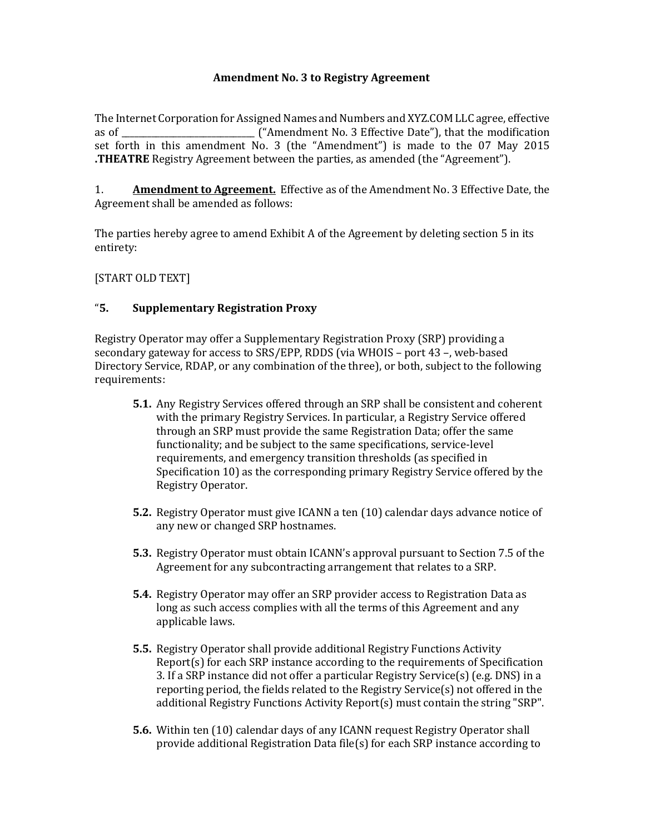#### **Amendment No. 3 to Registry Agreement**

The Internet Corporation for Assigned Names and Numbers and XYZ.COM LLC agree, effective as of \_\_\_\_\_\_\_\_\_\_\_\_\_\_\_\_\_\_\_\_\_\_\_\_\_\_\_\_\_\_\_ ("Amendment No. 3 Effective Date"), that the modification set forth in this amendment No. 3 (the "Amendment") is made to the 07 May 2015 **.THEATRE** Registry Agreement between the parties, as amended (the "Agreement").

1. **Amendment to Agreement.** Effective as of the Amendment No. 3 Effective Date, the Agreement shall be amended as follows:

The parties hereby agree to amend Exhibit A of the Agreement by deleting section 5 in its entirety:

[START OLD TEXT]

### "**5. Supplementary Registration Proxy**

Registry Operator may offer a Supplementary Registration Proxy (SRP) providing a secondary gateway for access to SRS/EPP, RDDS (via WHOIS – port 43 –, web-based Directory Service, RDAP, or any combination of the three), or both, subject to the following requirements:

- **5.1.** Any Registry Services offered through an SRP shall be consistent and coherent with the primary Registry Services. In particular, a Registry Service offered through an SRP must provide the same Registration Data; offer the same functionality; and be subject to the same specifications, service-level requirements, and emergency transition thresholds (as specified in Specification 10) as the corresponding primary Registry Service offered by the Registry Operator.
- **5.2.** Registry Operator must give ICANN a ten (10) calendar days advance notice of any new or changed SRP hostnames.
- **5.3.** Registry Operator must obtain ICANN's approval pursuant to Section 7.5 of the Agreement for any subcontracting arrangement that relates to a SRP.
- **5.4.** Registry Operator may offer an SRP provider access to Registration Data as long as such access complies with all the terms of this Agreement and any applicable laws.
- **5.5.** Registry Operator shall provide additional Registry Functions Activity Report(s) for each SRP instance according to the requirements of Specification 3. If a SRP instance did not offer a particular Registry Service(s) (e.g. DNS) in a reporting period, the fields related to the Registry Service(s) not offered in the additional Registry Functions Activity Report(s) must contain the string "SRP".
- **5.6.** Within ten (10) calendar days of any ICANN request Registry Operator shall provide additional Registration Data file(s) for each SRP instance according to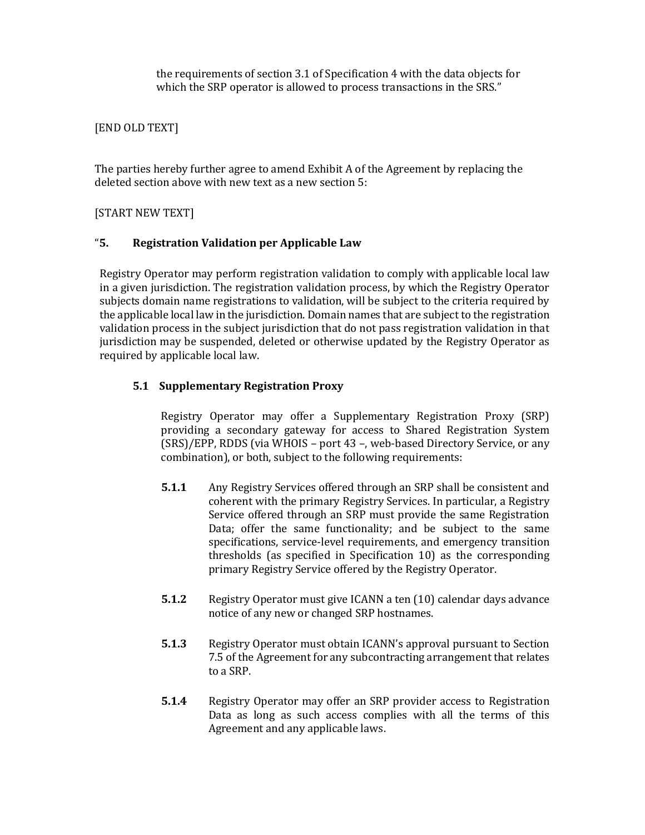the requirements of section 3.1 of Specification 4 with the data objects for which the SRP operator is allowed to process transactions in the SRS."

# [END OLD TEXT]

The parties hereby further agree to amend Exhibit A of the Agreement by replacing the deleted section above with new text as a new section 5:

## [START NEW TEXT]

### "**5. Registration Validation per Applicable Law**

Registry Operator may perform registration validation to comply with applicable local law in a given jurisdiction. The registration validation process, by which the Registry Operator subjects domain name registrations to validation, will be subject to the criteria required by the applicable local law in the jurisdiction. Domain names that are subject to the registration validation process in the subject jurisdiction that do not pass registration validation in that jurisdiction may be suspended, deleted or otherwise updated by the Registry Operator as required by applicable local law.

### **5.1 Supplementary Registration Proxy**

Registry Operator may offer a Supplementary Registration Proxy (SRP) providing a secondary gateway for access to Shared Registration System (SRS)/EPP, RDDS (via WHOIS – port 43 –, web-based Directory Service, or any combination), or both, subject to the following requirements:

- **5.1.1** Any Registry Services offered through an SRP shall be consistent and coherent with the primary Registry Services. In particular, a Registry Service offered through an SRP must provide the same Registration Data; offer the same functionality; and be subject to the same specifications, service-level requirements, and emergency transition thresholds (as specified in Specification 10) as the corresponding primary Registry Service offered by the Registry Operator.
- **5.1.2** Registry Operator must give ICANN a ten (10) calendar days advance notice of any new or changed SRP hostnames.
- **5.1.3** Registry Operator must obtain ICANN's approval pursuant to Section 7.5 of the Agreement for any subcontracting arrangement that relates to a SRP.
- **5.1.4** Registry Operator may offer an SRP provider access to Registration Data as long as such access complies with all the terms of this Agreement and any applicable laws.